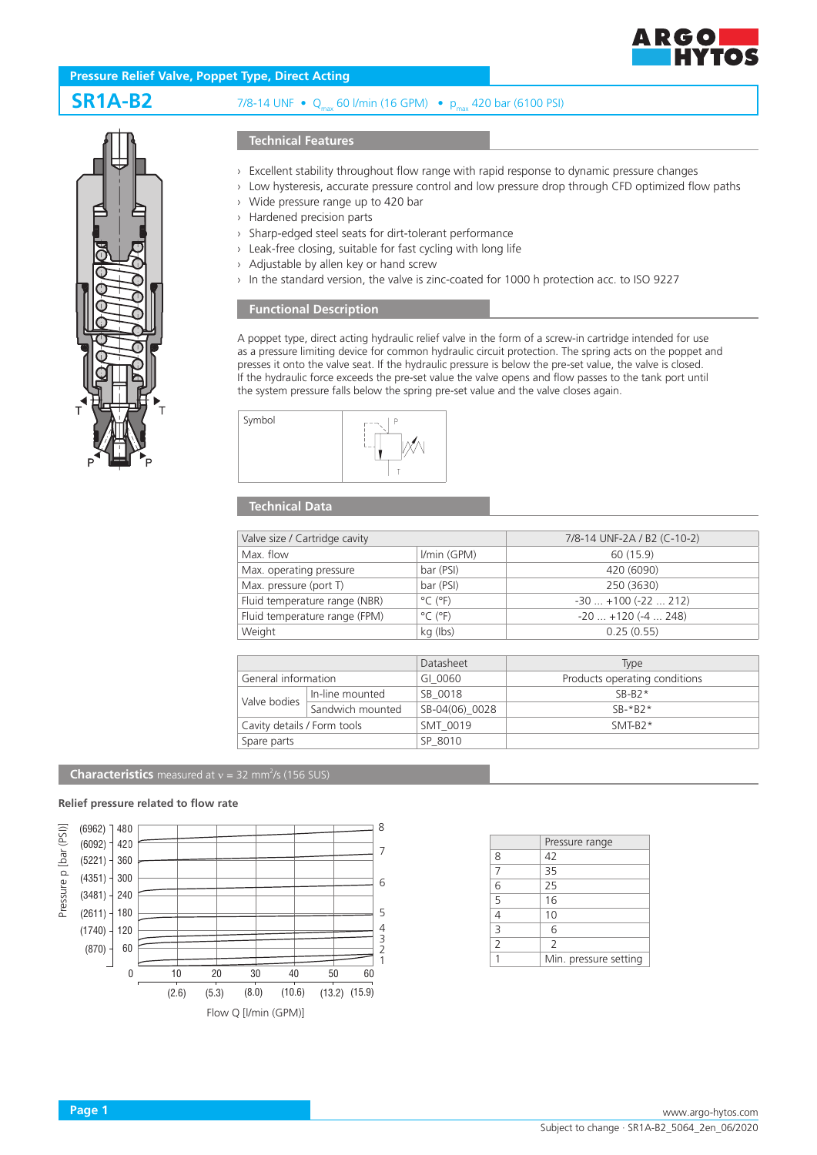

## **Pressure Relief Valve, Poppet Type, Direct Acting**

# **SR1A-B2** 7/8-14 UNF • Qmax 60 l/min (16 GPM) • pmax 420 bar (6100 PSI)



#### **Technical Features**

- › Excellent stability throughout flow range with rapid response to dynamic pressure changes
- › Low hysteresis, accurate pressure control and low pressure drop through CFD optimized flow paths
- › Wide pressure range up to 420 bar
- › Hardened precision parts
- › Sharp-edged steel seats for dirt-tolerant performance
- › Leak-free closing, suitable for fast cycling with long life
- › Adjustable by allen key or hand screw
- › In the standard version, the valve is zinc-coated for 1000 h protection acc. to ISO 9227

### **Functional Description**

A poppet type, direct acting hydraulic relief valve in the form of a screw-in cartridge intended for use as a pressure limiting device for common hydraulic circuit protection. The spring acts on the poppet and presses it onto the valve seat. If the hydraulic pressure is below the pre-set value, the valve is closed. If the hydraulic force exceeds the pre-set value the valve opens and flow passes to the tank port until the system pressure falls below the spring pre-set value and the valve closes again.



## **Technical Data**

| Valve size / Cartridge cavity |                              | 7/8-14 UNF-2A / B2 (C-10-2) |
|-------------------------------|------------------------------|-----------------------------|
| Max. flow                     | I/min (GPM)                  | 60 (15.9)                   |
| Max. operating pressure       | bar (PSI)                    | 420 (6090)                  |
| Max. pressure (port T)        | bar (PSI)                    | 250 (3630)                  |
| Fluid temperature range (NBR) | $^{\circ}$ C ( $^{\circ}$ F) | $-30$ $+100$ ( $-22$ 212)   |
| Fluid temperature range (FPM) | $^{\circ}$ C ( $^{\circ}$ F) | $-20$ $+120$ ( $-4$ 248)    |
| Weight                        | kg (lbs)                     | 0.25(0.55)                  |

|                             |                  | Datasheet      | Type                          |
|-----------------------------|------------------|----------------|-------------------------------|
| General information         |                  | GI 0060        | Products operating conditions |
| Valve bodies                | In-line mounted  | SB 0018        | $SB-B2*$                      |
|                             | Sandwich mounted | SB-04(06) 0028 | $SR-*R2*$                     |
| Cavity details / Form tools |                  | SMT 0019       | $SMT-B2*$                     |
| Spare parts                 |                  | SP 8010        |                               |

#### **Characteristics** measured at  $v = 32$  mm<sup>2</sup>/s (156 SUS)

#### **Relief pressure related to flow rate**



|                | Pressure range        |
|----------------|-----------------------|
| 8              | 42                    |
| 7              | 35                    |
| 6              | 25                    |
| 5              | 16                    |
|                | 10                    |
| 3              | 6                     |
| $\overline{2}$ | $\overline{2}$        |
|                | Min. pressure setting |